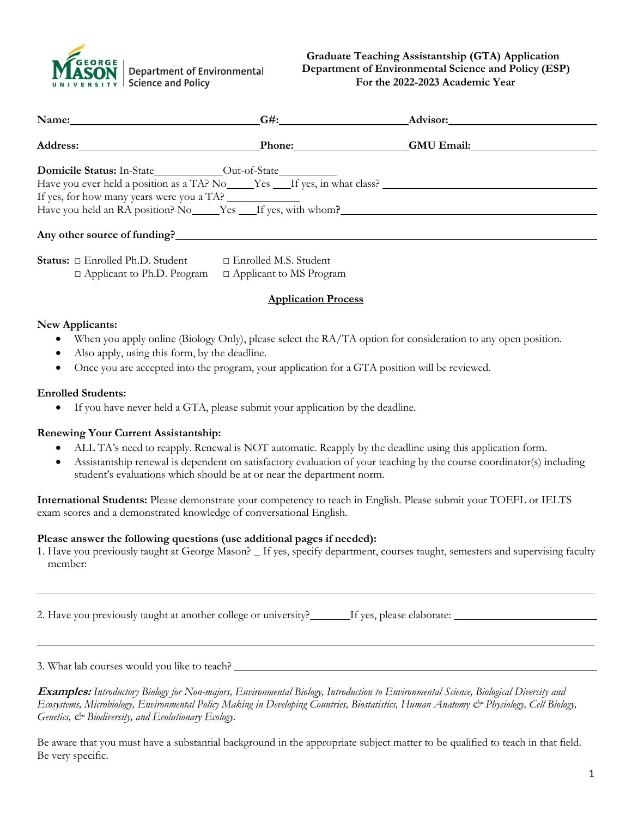

|                                           | G#: Advisor: Advisor:                                             |
|-------------------------------------------|-------------------------------------------------------------------|
|                                           | Address: The Contract of Phone: CAU Email:                        |
|                                           |                                                                   |
| If yes, for how many years were you a TA? |                                                                   |
|                                           | Have you held an RA position? No ______Yes ____If yes, with whom? |
| Any other source of funding?              |                                                                   |

| <b>Status:</b> $\Box$ Enrolled Ph.D. Student | $\Box$ Enrolled M.S. Student   |
|----------------------------------------------|--------------------------------|
| $\Box$ Applicant to Ph.D. Program            | $\Box$ Applicant to MS Program |

### **Application Process**

#### **New Applicants:**

- When you apply online (Biology Only), please select the RA/TA option for consideration to any open position.
- Also apply, using this form, by the deadline.
- Once you are accepted into the program, your application for a GTA position will be reviewed.

#### **Enrolled Students:**

• If you have never held a GTA, please submit your application by the deadline.

#### **Renewing Your Current Assistantship:**

- ALL TA's need to reapply. Renewal is NOT automatic. Reapply by the deadline using this application form.
- Assistantship renewal is dependent on satisfactory evaluation of your teaching by the course coordinator(s) including student's evaluations which should be at or near the department norm.

**International Students:** Please demonstrate your competency to teach in English. Please submit your TOEFL or IELTS exam scores and a demonstrated knowledge of conversational English.

#### **Please answer the following questions (use additional pages if needed):**

1. Have you previously taught at George Mason? If yes, specify department, courses taught, semesters and supervising faculty member:

2. Have you previously taught at another college or university? If yes, please elaborate:

3. What lab courses would you like to teach?

**Examples:** *Introductory Biology for Non-majors, Environmental Biology, Introduction to Environmental Science, Biological Diversity and Ecosystems, Microbiology, Environmental Policy Making in Developing Countries, Biostatistics, Human Anatomy & Physiology, Cell Biology, Genetics, & Biodiversity, and Evolutionary Ecology.*

Be aware that you must have a substantial background in the appropriate subject matter to be qualified to teach in that field. Be very specific.